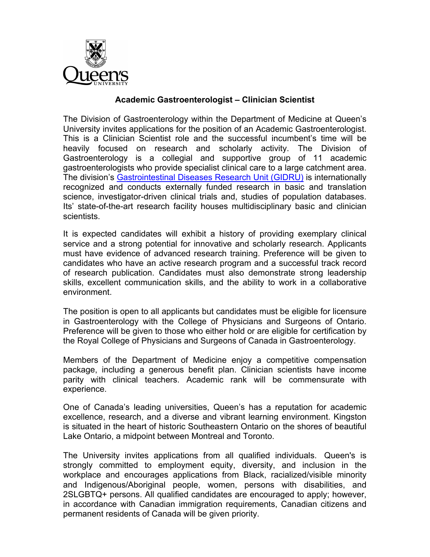

## **Academic Gastroenterologist – Clinician Scientist**

The Division of Gastroenterology within the Department of Medicine at Queen's University invites applications for the position of an Academic Gastroenterologist. This is a Clinician Scientist role and the successful incumbent's time will be heavily focused on research and scholarly activity. The Division of Gastroenterology is a collegial and supportive group of 11 academic gastroenterologists who provide specialist clinical care to a large catchment area. The division's Gastrointestinal Diseases Research Unit (GIDRU) is internationally recognized and conducts externally funded research in basic and translation science, investigator-driven clinical trials and, studies of population databases. Its' state-of-the-art research facility houses multidisciplinary basic and clinician scientists.

It is expected candidates will exhibit a history of providing exemplary clinical service and a strong potential for innovative and scholarly research. Applicants must have evidence of advanced research training. Preference will be given to candidates who have an active research program and a successful track record of research publication. Candidates must also demonstrate strong leadership skills, excellent communication skills, and the ability to work in a collaborative environment.

The position is open to all applicants but candidates must be eligible for licensure in Gastroenterology with the College of Physicians and Surgeons of Ontario. Preference will be given to those who either hold or are eligible for certification by the Royal College of Physicians and Surgeons of Canada in Gastroenterology.

Members of the Department of Medicine enjoy a competitive compensation package, including a generous benefit plan. Clinician scientists have income parity with clinical teachers. Academic rank will be commensurate with experience.

One of Canada's leading universities, Queen's has a reputation for academic excellence, research, and a diverse and vibrant learning environment. Kingston is situated in the heart of historic Southeastern Ontario on the shores of beautiful Lake Ontario, a midpoint between Montreal and Toronto.

The University invites applications from all qualified individuals. Queen's is strongly committed to employment equity, diversity, and inclusion in the workplace and encourages applications from Black, racialized/visible minority and Indigenous/Aboriginal people, women, persons with disabilities, and 2SLGBTQ+ persons. All qualified candidates are encouraged to apply; however, in accordance with Canadian immigration requirements, Canadian citizens and permanent residents of Canada will be given priority.